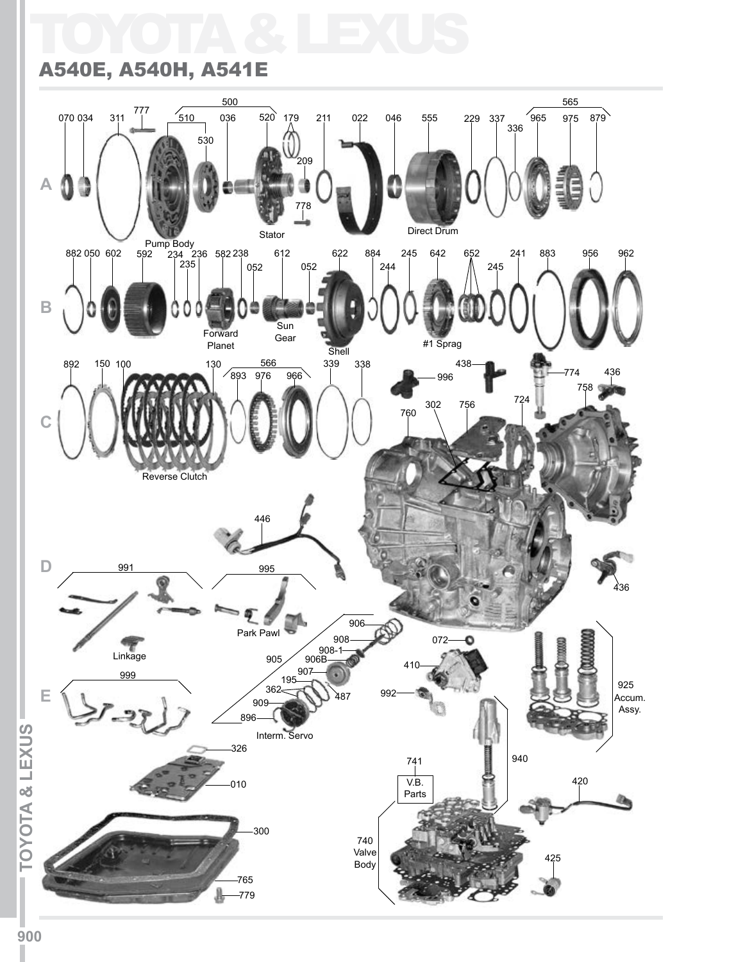# TOYOTA & LEXUS

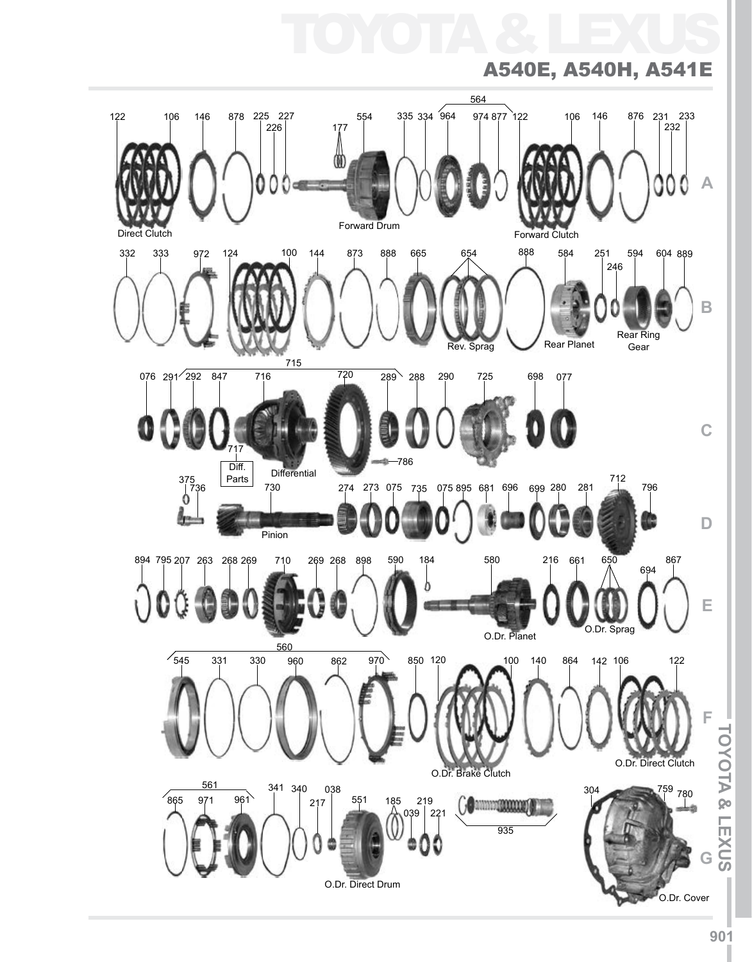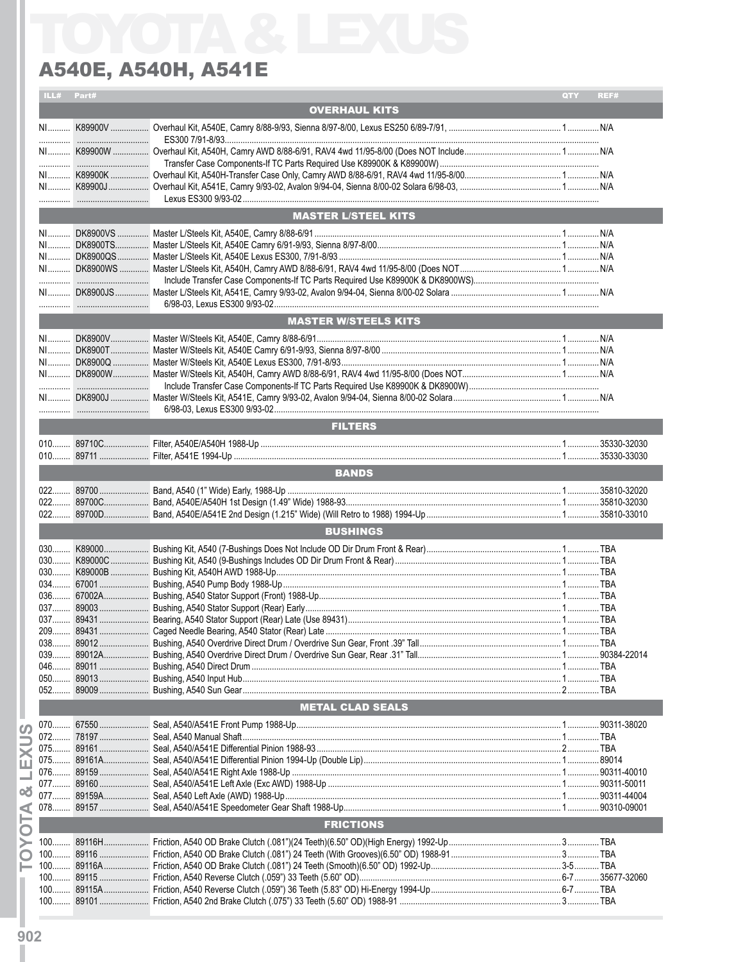| ILL# | Part# |                             | QTY | REF# |
|------|-------|-----------------------------|-----|------|
|      |       | <b>OVERHAUL KITS</b>        |     |      |
|      |       |                             |     |      |
|      |       |                             |     |      |
|      |       |                             |     |      |
|      |       |                             |     |      |
|      |       |                             |     |      |
|      |       |                             |     |      |
|      |       |                             |     |      |
|      |       |                             |     |      |
|      |       | <b>MASTER L/STEEL KITS</b>  |     |      |
|      |       |                             |     |      |
|      |       |                             |     |      |
|      |       |                             |     |      |
|      |       |                             |     |      |
|      |       |                             |     |      |
|      |       |                             |     |      |
|      |       |                             |     |      |
|      |       | <b>MASTER W/STEELS KITS</b> |     |      |
|      |       |                             |     |      |
|      |       |                             |     |      |
|      |       |                             |     |      |
|      |       |                             |     |      |
|      |       |                             |     |      |
|      |       |                             |     |      |
|      |       |                             |     |      |
|      |       | <b>FILTERS</b>              |     |      |
|      |       |                             |     |      |
|      |       |                             |     |      |
|      |       |                             |     |      |
|      |       | <b>BANDS</b>                |     |      |
| 022  |       |                             |     |      |
|      |       |                             |     |      |
|      |       |                             |     |      |
|      |       | <b>BUSHINGS</b>             |     |      |
|      |       |                             |     |      |
|      |       |                             |     |      |
|      |       |                             |     |      |
|      |       |                             |     |      |
|      |       |                             |     |      |
|      |       |                             |     |      |
|      |       |                             |     |      |
|      |       |                             |     |      |
|      |       |                             |     |      |
|      |       |                             |     |      |
|      |       |                             |     |      |
|      |       |                             |     |      |
|      |       |                             |     |      |
|      |       | <b>METAL CLAD SEALS</b>     |     |      |
|      |       |                             |     |      |
|      |       |                             |     |      |
|      |       |                             |     |      |
|      |       |                             |     |      |
|      |       |                             |     |      |
|      |       |                             |     |      |
|      |       |                             |     |      |
|      |       |                             |     |      |
|      |       | <b>FRICTIONS</b>            |     |      |
|      |       |                             |     |      |
|      |       |                             |     |      |
|      |       |                             |     |      |
|      |       |                             |     |      |
|      |       |                             |     |      |
|      |       |                             |     |      |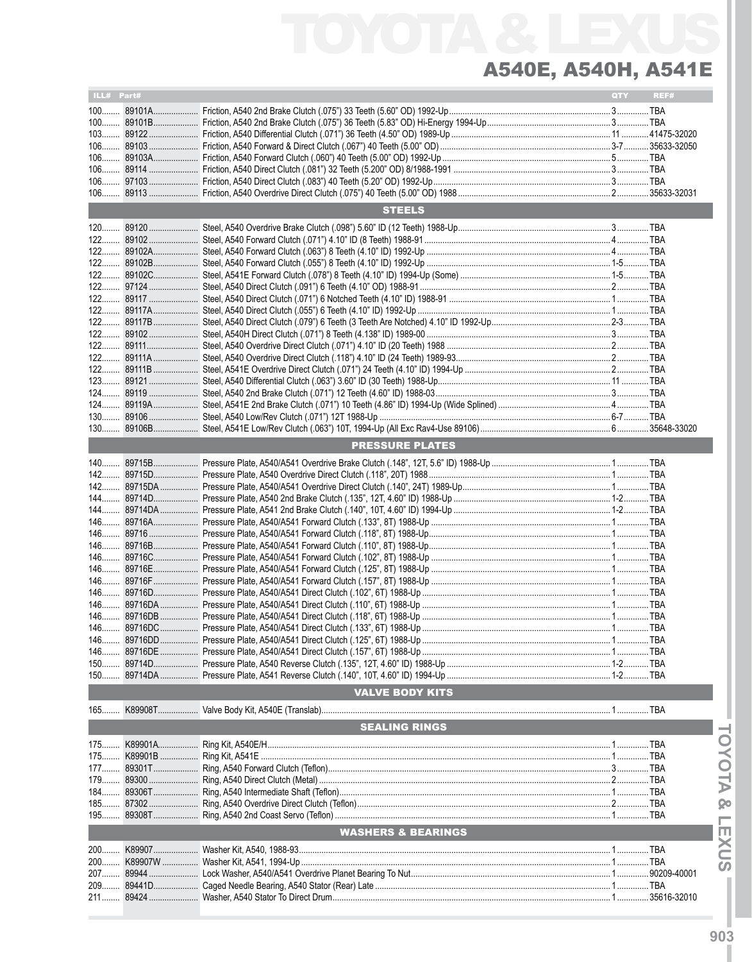| ILL# Part# |             |                               | QTY | REF# |
|------------|-------------|-------------------------------|-----|------|
|            |             |                               |     |      |
|            |             |                               |     |      |
|            |             |                               |     |      |
|            |             |                               |     |      |
|            |             |                               |     |      |
|            |             |                               |     |      |
|            |             |                               |     |      |
|            |             |                               |     |      |
|            |             |                               |     |      |
|            |             |                               |     |      |
|            |             | <b>STEELS</b>                 |     |      |
|            |             |                               |     |      |
|            |             |                               |     |      |
|            |             |                               |     |      |
|            |             |                               |     |      |
|            |             |                               |     |      |
|            |             |                               |     |      |
|            |             |                               |     |      |
|            |             |                               |     |      |
|            |             |                               |     |      |
|            |             |                               |     |      |
|            |             |                               |     |      |
|            |             |                               |     |      |
|            |             |                               |     |      |
|            |             |                               |     |      |
|            |             |                               |     |      |
|            |             |                               |     |      |
|            |             |                               |     |      |
|            |             |                               |     |      |
|            |             |                               |     |      |
|            |             |                               |     |      |
|            |             |                               |     |      |
|            |             | <b>PRESSURE PLATES</b>        |     |      |
|            |             |                               |     |      |
|            |             |                               |     |      |
|            |             |                               |     |      |
|            |             |                               |     |      |
|            |             |                               |     |      |
|            |             |                               |     |      |
|            |             |                               |     |      |
|            |             |                               |     |      |
|            |             |                               |     |      |
|            |             |                               |     |      |
|            |             |                               |     |      |
|            |             |                               |     |      |
|            |             |                               |     |      |
|            |             |                               |     |      |
|            |             |                               |     |      |
|            |             |                               |     |      |
|            |             |                               |     |      |
|            |             |                               |     |      |
|            |             |                               |     |      |
|            |             |                               |     |      |
|            |             |                               |     |      |
|            |             |                               |     |      |
|            |             |                               |     |      |
|            |             | <b>VALVE BODY KITS</b>        |     |      |
| $165$      |             |                               |     |      |
|            |             | <b>SEALING RINGS</b>          |     |      |
|            |             |                               |     |      |
|            |             |                               |     |      |
|            | 175 K89901B |                               |     |      |
|            |             |                               |     |      |
|            | 179 89300   |                               |     |      |
|            |             |                               |     |      |
|            |             |                               |     |      |
|            | 185 87302   |                               |     |      |
|            |             |                               |     |      |
|            |             | <b>WASHERS &amp; BEARINGS</b> |     |      |
| 200        |             |                               |     |      |
|            |             |                               |     |      |
| 200        | K89907W     |                               |     |      |
|            |             |                               |     |      |
|            | 209 89441D  |                               |     |      |
|            |             |                               |     |      |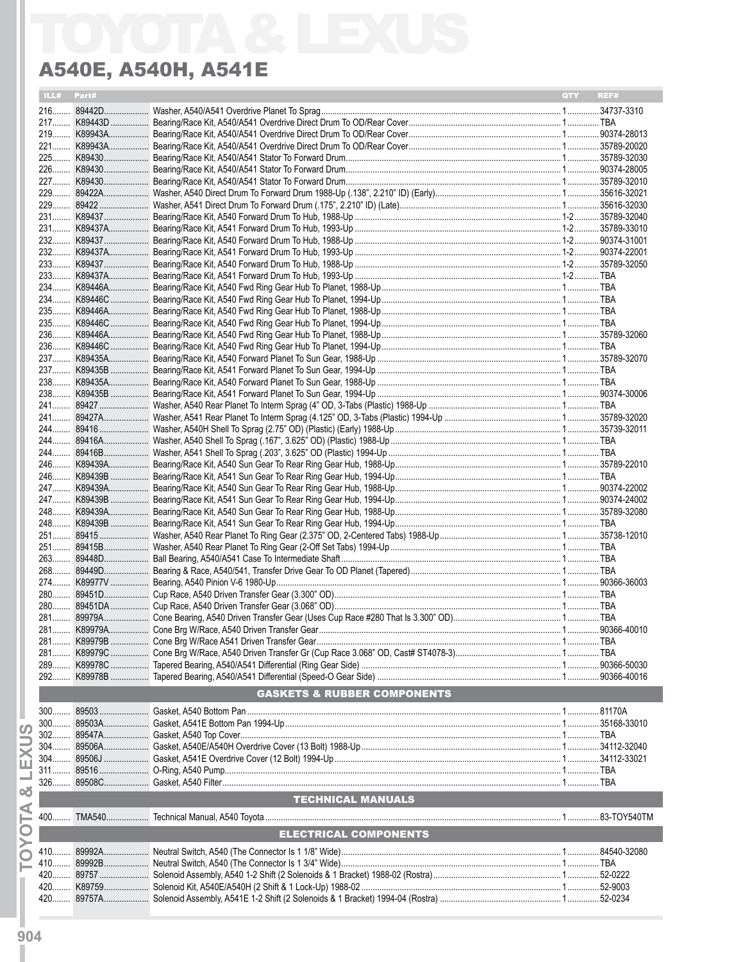| ILL# Part# |                                        | <b>OTY</b> | REF# |
|------------|----------------------------------------|------------|------|
|            |                                        |            |      |
|            |                                        |            |      |
|            |                                        |            |      |
|            |                                        |            |      |
|            |                                        |            |      |
|            |                                        |            |      |
|            |                                        |            |      |
|            |                                        |            |      |
|            |                                        |            |      |
|            |                                        |            |      |
|            |                                        |            |      |
|            |                                        |            |      |
|            |                                        |            |      |
|            |                                        |            |      |
|            |                                        |            |      |
|            |                                        |            |      |
|            |                                        |            |      |
|            |                                        |            |      |
|            |                                        |            |      |
|            |                                        |            |      |
|            |                                        |            |      |
|            |                                        |            |      |
|            |                                        |            |      |
|            |                                        |            |      |
|            |                                        |            |      |
|            |                                        |            |      |
|            |                                        |            |      |
|            |                                        |            |      |
|            |                                        |            |      |
|            |                                        |            |      |
|            |                                        |            |      |
|            |                                        |            |      |
|            |                                        |            |      |
|            |                                        |            |      |
|            |                                        |            |      |
|            |                                        |            |      |
|            |                                        |            |      |
|            |                                        |            |      |
|            |                                        |            |      |
|            |                                        |            |      |
|            |                                        |            |      |
|            |                                        |            |      |
|            |                                        |            |      |
|            |                                        |            |      |
|            |                                        |            |      |
|            | <b>GASKETS &amp; RUBBER COMPONENTS</b> |            |      |
|            |                                        |            |      |
|            |                                        |            |      |
|            |                                        |            |      |
|            |                                        |            |      |
|            |                                        |            |      |
|            |                                        |            |      |
|            |                                        |            |      |
|            | <b>TECHNICAL MANUALS</b>               |            |      |
|            |                                        |            |      |
|            | <b>ELECTRICAL COMPONENTS</b>           |            |      |
|            |                                        |            |      |
|            |                                        |            |      |
|            |                                        |            |      |
|            |                                        |            |      |
|            |                                        |            |      |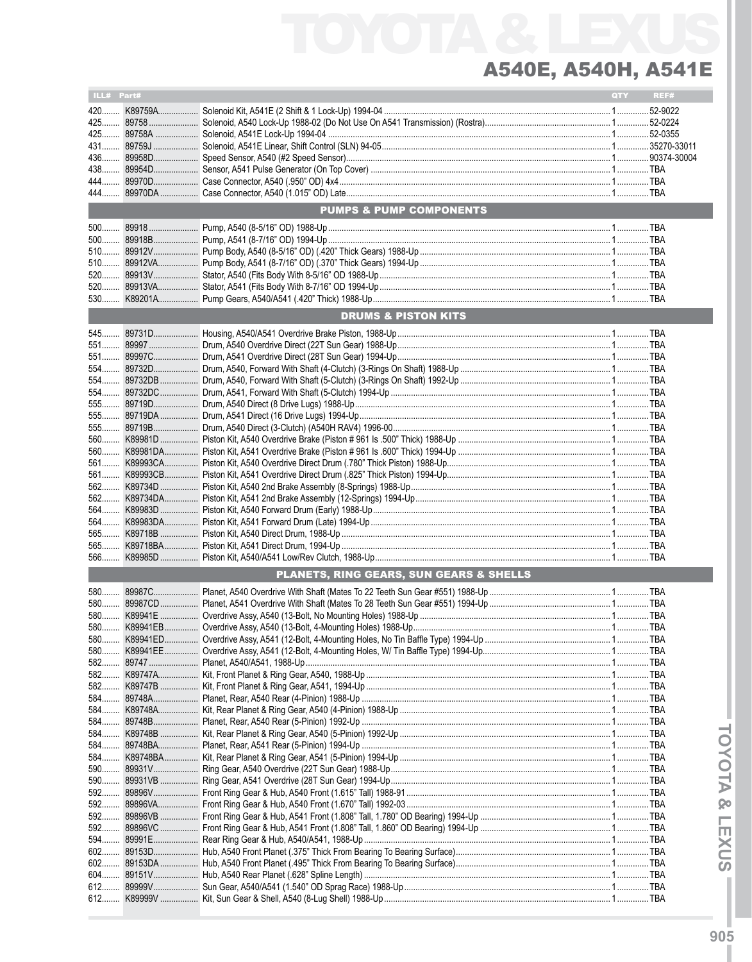| ILL# Part# |                                                    | <b>QTY</b> | REF# |
|------------|----------------------------------------------------|------------|------|
|            |                                                    |            |      |
|            |                                                    |            |      |
|            |                                                    |            |      |
|            |                                                    |            |      |
|            |                                                    |            |      |
|            |                                                    |            |      |
|            |                                                    |            |      |
|            |                                                    |            |      |
|            | <b>PUMPS &amp; PUMP COMPONENTS</b>                 |            |      |
|            |                                                    |            |      |
| $500$      |                                                    |            |      |
|            |                                                    |            |      |
|            |                                                    |            |      |
|            |                                                    |            |      |
|            |                                                    |            |      |
|            |                                                    |            |      |
|            | <b>DRUMS &amp; PISTON KITS</b>                     |            |      |
|            |                                                    |            |      |
|            |                                                    |            |      |
|            |                                                    |            |      |
|            |                                                    |            |      |
|            |                                                    |            |      |
|            |                                                    |            |      |
|            |                                                    |            |      |
|            |                                                    |            |      |
|            |                                                    |            |      |
|            |                                                    |            |      |
|            |                                                    |            |      |
|            |                                                    |            |      |
|            |                                                    |            |      |
|            |                                                    |            |      |
|            |                                                    |            |      |
|            |                                                    |            |      |
| 565        |                                                    |            |      |
| 565        |                                                    |            |      |
| $566$      |                                                    |            |      |
|            | <b>PLANETS, RING GEARS, SUN GEARS &amp; SHELLS</b> |            |      |
|            |                                                    |            |      |
|            |                                                    |            |      |
|            |                                                    |            |      |
|            |                                                    |            |      |
|            |                                                    |            |      |
|            |                                                    |            |      |
|            |                                                    |            |      |
| 582        |                                                    |            |      |
|            |                                                    |            |      |
|            |                                                    |            |      |
|            |                                                    |            |      |
|            |                                                    |            |      |
|            |                                                    |            |      |
|            |                                                    |            |      |
| 590        |                                                    |            |      |
|            |                                                    |            |      |
| 592        |                                                    |            |      |
|            |                                                    |            |      |
|            |                                                    |            |      |
|            |                                                    |            |      |
|            |                                                    |            |      |
| $602$      |                                                    |            |      |
| 602        |                                                    |            |      |
| $612$      |                                                    |            |      |
| 612        |                                                    |            |      |
|            |                                                    |            |      |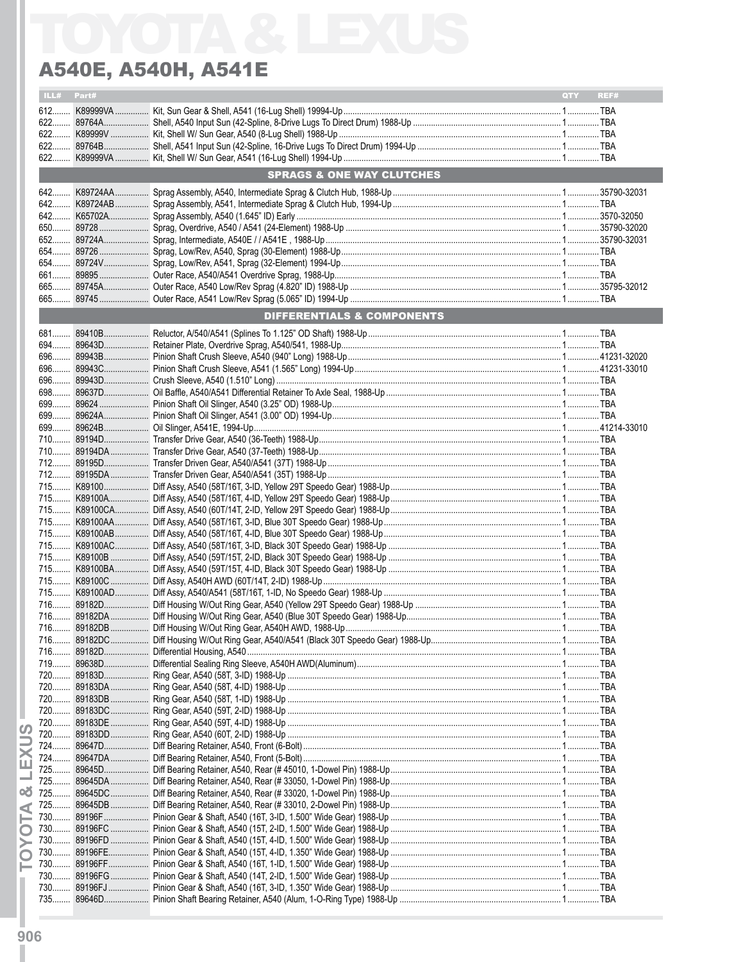| ILL#  | Part# |                                      | QTY | REF# |
|-------|-------|--------------------------------------|-----|------|
|       |       |                                      |     |      |
|       |       |                                      |     |      |
| $622$ |       |                                      |     |      |
|       |       |                                      |     |      |
|       |       |                                      |     |      |
|       |       | <b>SPRAGS &amp; ONE WAY CLUTCHES</b> |     |      |
|       |       |                                      |     |      |
|       |       |                                      |     |      |
|       |       |                                      |     |      |
|       |       |                                      |     |      |
|       |       |                                      |     |      |
|       |       |                                      |     |      |
|       |       |                                      |     |      |
|       |       |                                      |     |      |
|       |       |                                      |     |      |
|       |       |                                      |     |      |
|       |       | DIFFERENTIALS & COMPONENTS           |     |      |
|       |       |                                      |     |      |
|       |       |                                      |     |      |
|       |       |                                      |     |      |
|       |       |                                      |     |      |
|       |       |                                      |     |      |
|       |       |                                      |     |      |
|       |       |                                      |     |      |
|       |       |                                      |     |      |
|       |       |                                      |     |      |
|       |       |                                      |     |      |
|       |       |                                      |     |      |
|       |       |                                      |     |      |
|       |       |                                      |     |      |
|       |       |                                      |     |      |
|       |       |                                      |     |      |
|       |       |                                      |     |      |
|       |       |                                      |     |      |
|       |       |                                      |     |      |
|       |       |                                      |     |      |
|       |       |                                      |     |      |
|       |       |                                      |     |      |
|       |       |                                      |     |      |
|       |       |                                      |     |      |
|       |       |                                      |     |      |
|       |       |                                      |     |      |
|       |       |                                      |     |      |
|       |       |                                      |     |      |
|       |       |                                      |     |      |
|       |       |                                      |     |      |
|       |       |                                      |     |      |
|       |       |                                      |     |      |
|       |       |                                      |     |      |
|       |       |                                      |     |      |
|       |       |                                      |     |      |
|       |       |                                      |     |      |
|       |       |                                      |     |      |
|       |       |                                      |     |      |
|       |       |                                      |     |      |
|       |       |                                      |     |      |
|       |       |                                      |     |      |
|       |       |                                      |     |      |
|       |       |                                      |     |      |
|       |       |                                      |     |      |
|       |       |                                      |     |      |
|       |       |                                      |     |      |
|       |       |                                      |     |      |

**TOYOTA & LEXUS**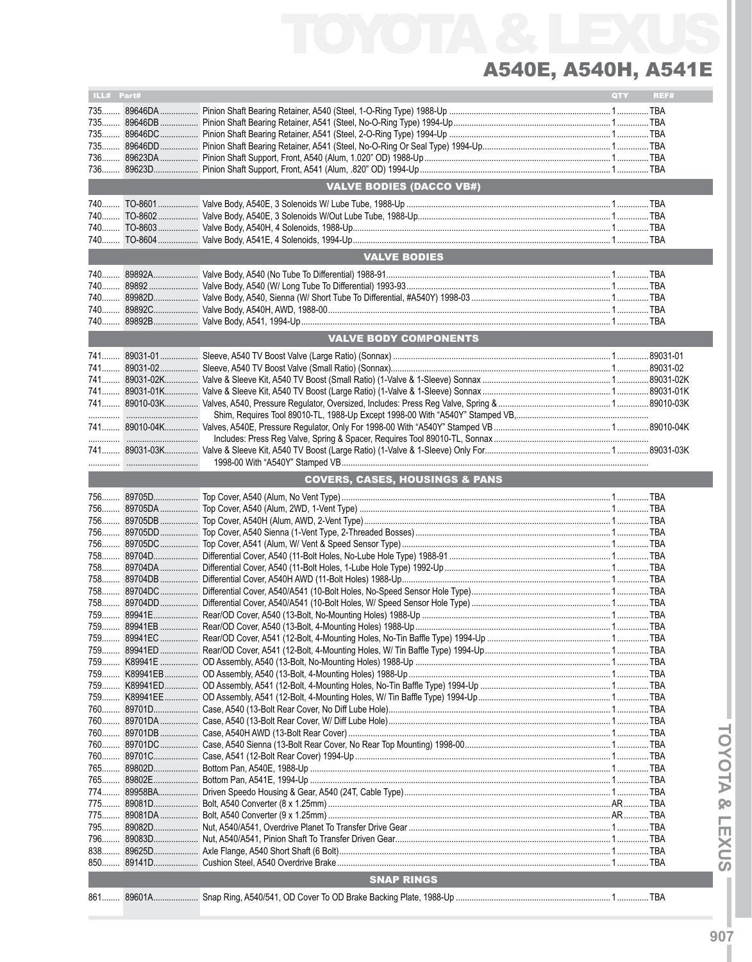| ILL# Part# |                                           | QTY | REF# |
|------------|-------------------------------------------|-----|------|
| 735        |                                           |     |      |
|            |                                           |     |      |
|            |                                           |     |      |
|            |                                           |     |      |
|            |                                           |     |      |
|            |                                           |     |      |
| 736        |                                           |     |      |
|            | <b>VALVE BODIES (DACCO VB#)</b>           |     |      |
|            |                                           |     |      |
| 740        |                                           |     |      |
|            |                                           |     |      |
|            |                                           |     |      |
|            |                                           |     |      |
|            |                                           |     |      |
|            | <b>VALVE BODIES</b>                       |     |      |
|            |                                           |     |      |
|            |                                           |     |      |
|            |                                           |     |      |
|            |                                           |     |      |
| 740        |                                           |     |      |
| 740        |                                           |     |      |
|            | <b>VALVE BODY COMPONENTS</b>              |     |      |
|            |                                           |     |      |
|            |                                           |     |      |
|            |                                           |     |      |
|            |                                           |     |      |
|            |                                           |     |      |
|            |                                           |     |      |
|            |                                           |     |      |
|            |                                           |     |      |
|            |                                           |     |      |
|            |                                           |     |      |
|            |                                           |     |      |
|            |                                           |     |      |
|            | <b>COVERS, CASES, HOUSINGS &amp; PANS</b> |     |      |
|            |                                           |     |      |
|            |                                           |     |      |
|            |                                           |     |      |
|            |                                           |     |      |
|            |                                           |     |      |
|            |                                           |     |      |
|            |                                           |     |      |
| 758        |                                           |     |      |
|            |                                           |     |      |
|            |                                           |     |      |
|            |                                           |     |      |
|            |                                           |     |      |
|            |                                           |     |      |
|            |                                           |     |      |
|            |                                           |     |      |
|            |                                           |     |      |
|            |                                           |     |      |
|            |                                           |     |      |
|            |                                           |     |      |
| 759        |                                           |     |      |
| 759        |                                           |     |      |
|            |                                           |     |      |
|            |                                           |     |      |
|            |                                           |     |      |
|            |                                           |     |      |
|            |                                           |     |      |
|            |                                           |     |      |
|            |                                           |     |      |
|            |                                           |     |      |
|            |                                           |     |      |
|            |                                           |     |      |
|            |                                           |     |      |
|            |                                           |     |      |
|            |                                           |     |      |
|            |                                           |     |      |
|            |                                           |     |      |
|            |                                           |     |      |
|            | <b>SNAP RINGS</b>                         |     |      |
|            |                                           |     |      |
|            |                                           |     |      |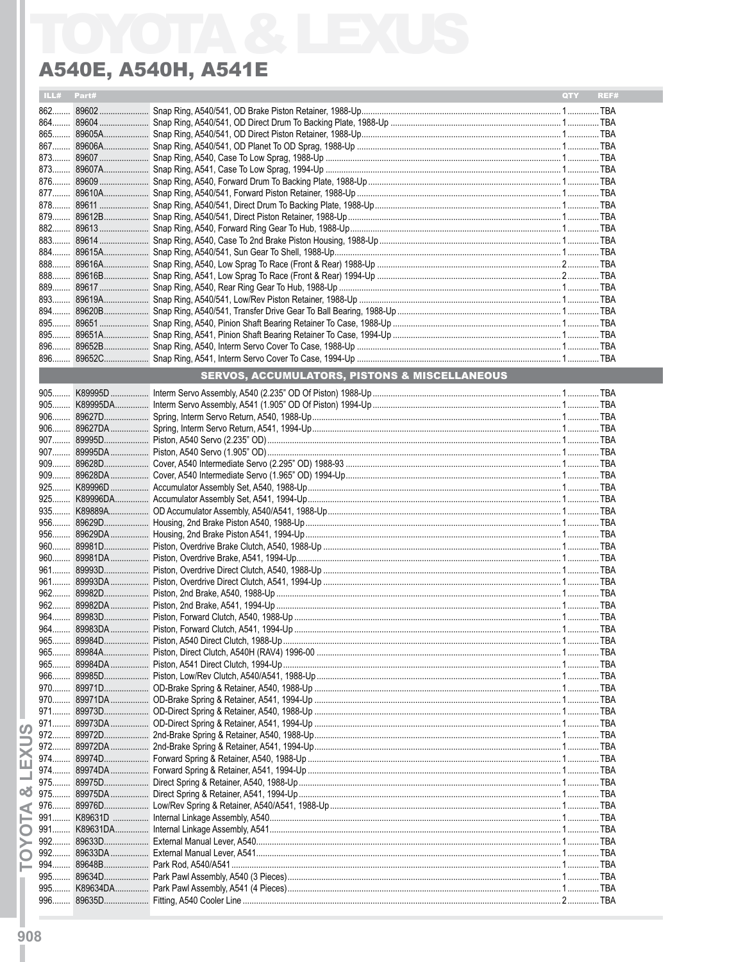| ILL#              | Part#  |                                                          | <b>QTY</b> | REF# |
|-------------------|--------|----------------------------------------------------------|------------|------|
|                   |        |                                                          |            |      |
|                   |        |                                                          |            |      |
|                   |        |                                                          |            |      |
|                   |        |                                                          |            |      |
|                   |        |                                                          |            |      |
|                   |        |                                                          |            |      |
|                   |        |                                                          |            |      |
|                   |        |                                                          |            |      |
|                   |        |                                                          |            |      |
|                   |        |                                                          |            |      |
|                   |        |                                                          |            |      |
|                   |        |                                                          |            |      |
|                   |        |                                                          |            |      |
|                   |        |                                                          |            |      |
|                   |        |                                                          |            |      |
|                   |        |                                                          |            |      |
|                   |        |                                                          |            |      |
|                   |        |                                                          |            |      |
|                   |        |                                                          |            |      |
|                   |        |                                                          |            |      |
|                   |        |                                                          |            |      |
|                   |        | <b>SERVOS, ACCUMULATORS, PISTONS &amp; MISCELLANEOUS</b> |            |      |
|                   |        |                                                          |            |      |
|                   |        |                                                          |            |      |
|                   |        |                                                          |            |      |
|                   |        |                                                          |            |      |
|                   |        |                                                          |            |      |
|                   |        |                                                          |            |      |
|                   |        |                                                          |            |      |
|                   |        |                                                          |            |      |
|                   |        |                                                          |            |      |
|                   |        |                                                          |            |      |
|                   |        |                                                          |            |      |
|                   |        |                                                          |            |      |
|                   |        |                                                          |            |      |
|                   |        |                                                          |            |      |
|                   |        |                                                          |            |      |
|                   |        |                                                          |            |      |
|                   |        |                                                          |            |      |
|                   |        |                                                          |            |      |
|                   |        |                                                          |            |      |
|                   |        |                                                          |            |      |
| 965               |        |                                                          |            |      |
| $965$             |        |                                                          |            |      |
| $966$             |        |                                                          |            |      |
| 970               |        |                                                          |            |      |
|                   |        |                                                          |            |      |
|                   |        |                                                          |            |      |
| $971$<br>$\omega$ |        |                                                          |            |      |
|                   |        |                                                          |            |      |
|                   |        |                                                          |            |      |
| ш                 |        |                                                          |            |      |
| 975               | 89975D |                                                          |            |      |
| οð<br>975         |        |                                                          |            |      |
| ₫                 |        |                                                          |            |      |
|                   |        |                                                          |            |      |
| ◘                 |        |                                                          |            |      |
| 992<br>➤          |        |                                                          |            |      |
| O                 |        |                                                          |            |      |
|                   |        |                                                          |            |      |
| 995.              | 89634D |                                                          |            |      |
| 995               |        |                                                          |            |      |
| $996$             |        |                                                          |            |      |